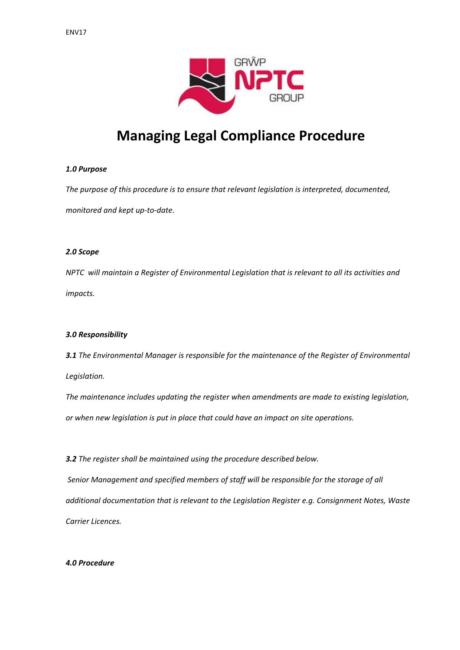

# **Managing Legal Compliance Procedure**

## *1.0 Purpose*

*The purpose of this procedure is to ensure that relevant legislation is interpreted, documented, monitored and kept up‐to‐date.*

## *2.0 Scope*

*NPTC will maintain a Register of Environmental Legislation that is relevant to all its activities and impacts.*

## *3.0 Responsibility*

*3.1 The Environmental Manager is responsible for the maintenance of the Register of Environmental Legislation.* 

*The maintenance includes updating the register when amendments are made to existing legislation, or when new legislation is put in place that could have an impact on site operations.* 

*3.2 The register shall be maintained using the procedure described below.*

*Senior Management and specified members of staff will be responsible for the storage of all additional documentation that is relevant to the Legislation Register e.g. Consignment Notes, Waste Carrier Licences.*

### *4.0 Procedure*